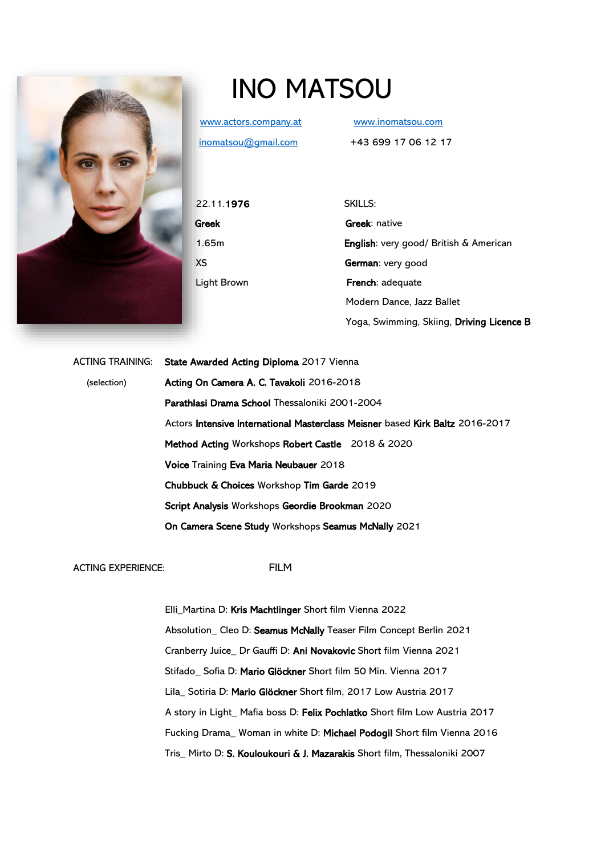

## INO MATSOU

[www.actors.company.at](http://www.actors.company.at/) [www.inomatsou.com](file:///C:/Users/inoma/Desktop/SCHAUSPIEL/VITA/www.inomatsou.com)

[inomatsou@gmail.com](mailto:inomatsou@gmail.com) +43 699 17 06 12 17

22.11.1976 SKILLS:

**Greek Greek:** native 1.65m English: very good/ British & American XS German: very good Light Brown **French:** adequate Modern Dance, Jazz Ballet Yoga, Swimming, Skiing, Driving Licence B

ACTING TRAINING: State Awarded Acting Diploma 2017 Vienna (selection) Acting On Camera A. C. Tavakoli 2016-2018 Parathlasi Drama School Thessaloniki 2001-2004 Actors Intensive International Masterclass Meisner based Kirk Baltz 2016-2017 Method Acting Workshops Robert Castle 2018 & 2020 Voice Training Eva Maria Neubauer 2018 Chubbuck & Choices Workshop Tim Garde 2019 Script Analysis Workshops Geordie Brookman 2020 On Camera Scene Study Workshops Seamus McNally 2021

ACTING EXPERIENCE: FILM

 Elli\_Martina D: Kris Machtlinger Short film Vienna 2022 Absolution\_ Cleo D: Seamus McNally Teaser Film Concept Berlin 2021 Cranberry Juice\_ Dr Gauffi D: Ani Novakovic Short film Vienna 2021 Stifado\_ Sofia D: Mario Glöckner Short film 50 Min. Vienna 2017 Lila\_ Sotiria D: Mario Glöckner Short film, 2017 Low Austria 2017 A story in Light\_ Mafia boss D: Felix Pochlatko Short film Low Austria 2017 Fucking Drama\_ Woman in white D: Michael Podogil Short film Vienna 2016 Tris\_ Mirto D: S. Kouloukouri & J. Mazarakis Short film, Thessaloniki 2007